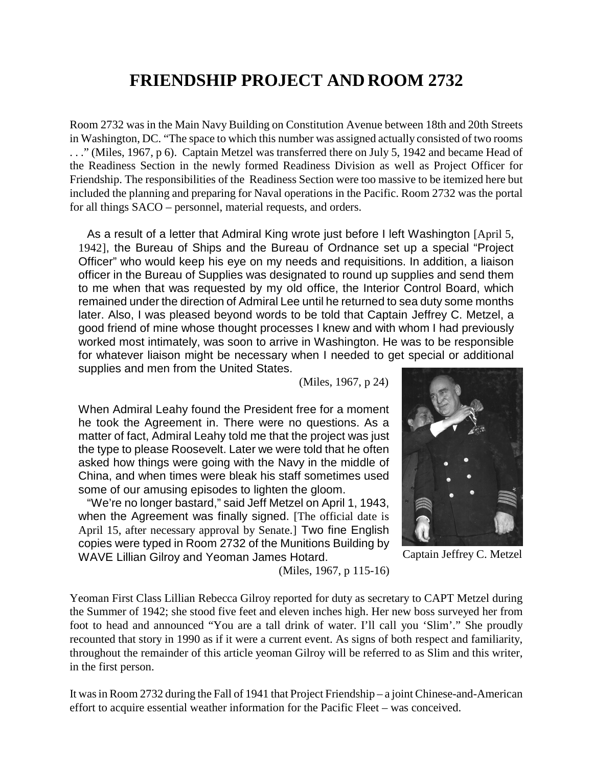## **FRIENDSHIP PROJECT AND ROOM 2732**

Room 2732 was in the Main Navy Building on Constitution Avenue between 18th and 20th Streets in Washington, DC. "The space to which this number was assigned actually consisted of two rooms . . ." (Miles, 1967, p 6). Captain Metzel was transferred there on July 5, 1942 and became Head of the Readiness Section in the newly formed Readiness Division as well as Project Officer for Friendship. The responsibilities of the Readiness Section were too massive to be itemized here but included the planning and preparing for Naval operations in the Pacific. Room 2732 was the portal for all things SACO – personnel, material requests, and orders.

As a result of a letter that Admiral King wrote just before I left Washington [April 5, 1942], the Bureau of Ships and the Bureau of Ordnance set up a special "Project Officer" who would keep his eye on my needs and requisitions. In addition, a liaison officer in the Bureau of Supplies was designated to round up supplies and send them to me when that was requested by my old office, the Interior Control Board, which remained under the direction of Admiral Lee until he returned to sea duty some months later. Also, I was pleased beyond words to be told that Captain Jeffrey C. Metzel, a good friend of mine whose thought processes I knew and with whom I had previously worked most intimately, was soon to arrive in Washington. He was to be responsible for whatever liaison might be necessary when I needed to get special or additional supplies and men from the United States.

(Miles, 1967, p 24)

When Admiral Leahy found the President free for a moment he took the Agreement in. There were no questions. As a matter of fact, Admiral Leahy told me that the project was just the type to please Roosevelt. Later we were told that he often asked how things were going with the Navy in the middle of China, and when times were bleak his staff sometimes used some of our amusing episodes to lighten the gloom.

"We're no longer bastard," said Jeff Metzel on April 1, 1943, when the Agreement was finally signed. [The official date is April 15, after necessary approval by Senate.] Two fine English copies were typed in Room 2732 of the Munitions Building by WAVE Lillian Gilroy and Yeoman James Hotard.



Captain Jeffrey C. Metzel

(Miles, 1967, p 115-16)

Yeoman First Class Lillian Rebecca Gilroy reported for duty as secretary to CAPT Metzel during the Summer of 1942; she stood five feet and eleven inches high. Her new boss surveyed her from foot to head and announced "You are a tall drink of water. I'll call you 'Slim'." She proudly recounted that story in 1990 as if it were a current event. As signs of both respect and familiarity, throughout the remainder of this article yeoman Gilroy will be referred to as Slim and this writer, in the first person.

It was in Room 2732 during the Fall of 1941 that Project Friendship – a joint Chinese-and-American effort to acquire essential weather information for the Pacific Fleet – was conceived.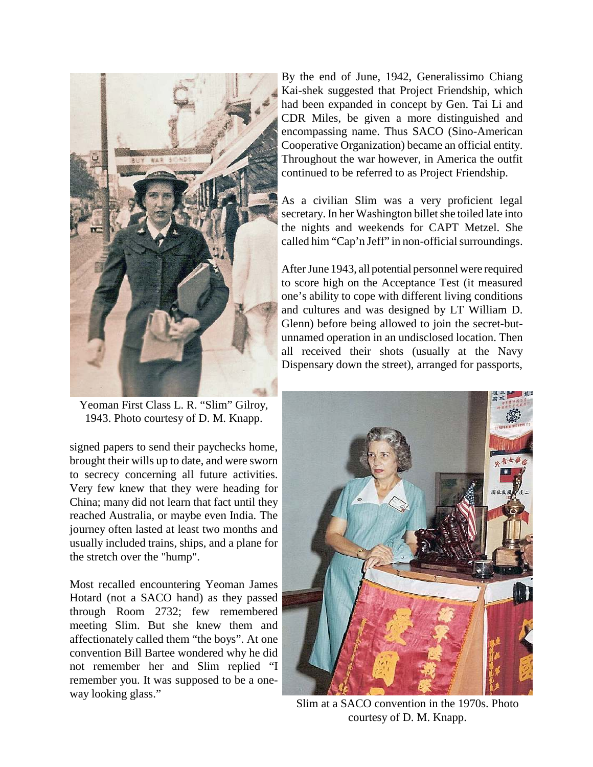

Yeoman First Class L. R. "Slim" Gilroy, 1943. Photo courtesy of D. M. Knapp.

signed papers to send their paychecks home, brought their wills up to date, and were sworn to secrecy concerning all future activities. Very few knew that they were heading for China; many did not learn that fact until they reached Australia, or maybe even India. The journey often lasted at least two months and usually included trains, ships, and a plane for the stretch over the "hump".

Most recalled encountering Yeoman James Hotard (not a SACO hand) as they passed through Room 2732; few remembered meeting Slim. But she knew them and affectionately called them "the boys". At one convention Bill Bartee wondered why he did not remember her and Slim replied "I remember you. It was supposed to be a oneway looking glass."

By the end of June, 1942, Generalissimo Chiang Kai-shek suggested that Project Friendship, which had been expanded in concept by Gen. Tai Li and CDR Miles, be given a more distinguished and encompassing name. Thus SACO (Sino-American Cooperative Organization) became an official entity. Throughout the war however, in America the outfit continued to be referred to as Project Friendship.

As a civilian Slim was a very proficient legal secretary. In her Washington billet she toiled late into the nights and weekends for CAPT Metzel. She called him "Cap'n Jeff" in non-official surroundings.

After June 1943, all potential personnel were required to score high on the Acceptance Test (it measured one's ability to cope with different living conditions and cultures and was designed by LT William D. Glenn) before being allowed to join the secret-butunnamed operation in an undisclosed location. Then all received their shots (usually at the Navy Dispensary down the street), arranged for passports,



Slim at a SACO convention in the 1970s. Photo courtesy of D. M. Knapp.